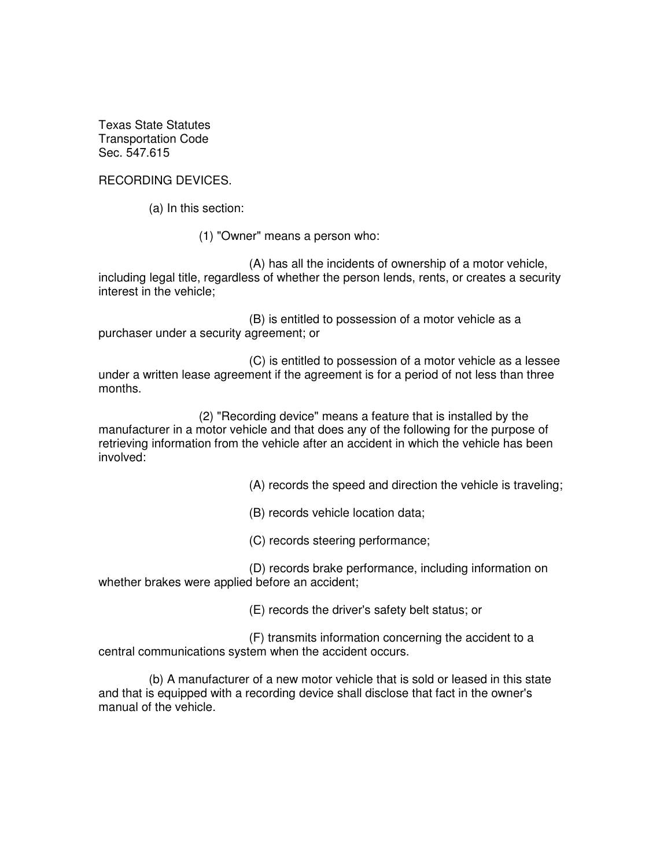Texas State Statutes Transportation Code Sec. 547.615

RECORDING DEVICES.

(a) In this section:

(1) "Owner" means a person who:

 (A) has all the incidents of ownership of a motor vehicle, including legal title, regardless of whether the person lends, rents, or creates a security interest in the vehicle;

 (B) is entitled to possession of a motor vehicle as a purchaser under a security agreement; or

 (C) is entitled to possession of a motor vehicle as a lessee under a written lease agreement if the agreement is for a period of not less than three months.

 (2) "Recording device" means a feature that is installed by the manufacturer in a motor vehicle and that does any of the following for the purpose of retrieving information from the vehicle after an accident in which the vehicle has been involved:

(A) records the speed and direction the vehicle is traveling;

(B) records vehicle location data;

(C) records steering performance;

 (D) records brake performance, including information on whether brakes were applied before an accident;

(E) records the driver's safety belt status; or

 (F) transmits information concerning the accident to a central communications system when the accident occurs.

 (b) A manufacturer of a new motor vehicle that is sold or leased in this state and that is equipped with a recording device shall disclose that fact in the owner's manual of the vehicle.